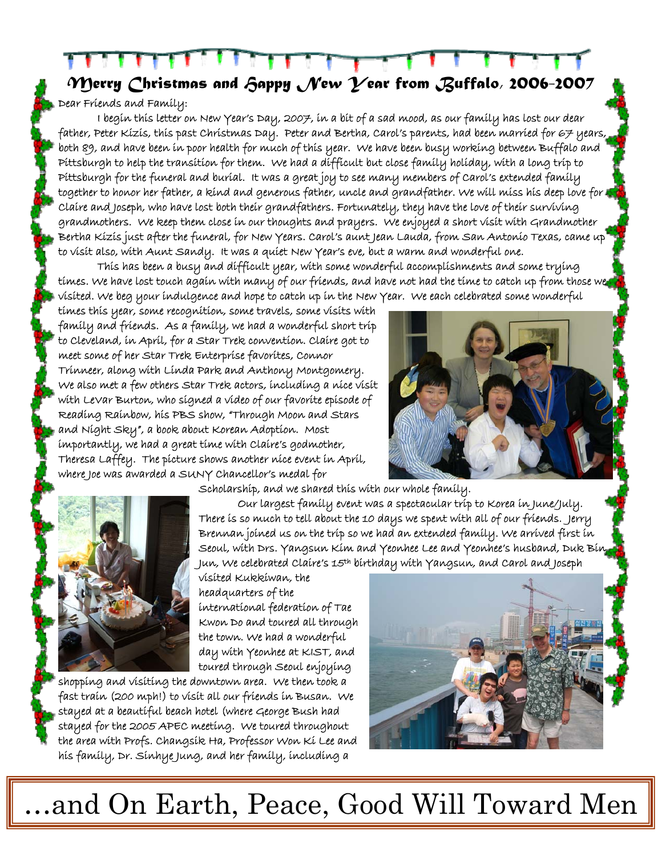*Merry Christmas and Happy New Year from Buffalo, 2006-2007* 

## Dear Friends and Family:

I begin this letter on New Year's Day, 2007, in a bit of a sad mood, as our family has lost our dear father, Peter Kizis, this past Christmas Day. Peter and Bertha, Carol's parents, had been married for 67 years, both 89, and have been in poor health for much of this year. We have been busy working between Buffalo and Pittsburgh to help the transition for them. We had a difficult but close family holiday, with a long trip to Pittsburgh for the funeral and burial. It was a great joy to see many members of Carol's extended family together to honor her father, a kind and generous father, uncle and grandfather. We will miss his deep love for Claire and Joseph, who have lost both their grandfathers. Fortunately, they have the love of their surviving grandmothers. We keep them close in our thoughts and prayers. We enjoyed a short visit with Grandmother Bertha Kizis just after the funeral, for New Years. Carol's aunt Jean Lauda, from San Antonio Texas, came up to visit also, with Aunt Sandy. It was a quiet New Year's eve, but a warm and wonderful one.

This has been a busy and difficult year, with some wonderful accomplishments and some trying times. We have lost touch again with many of our friends, and have not had the time to catch up from those we visited. We beg your indulgence and hope to catch up in the New Year. We each celebrated some wonderful

times this year, some recognition, some travels, some visits with family and friends. As a family, we had a wonderful short trip to Cleveland, in April, for a Star Trek convention. Claire got to meet some of her Star Trek Enterprise favorites, Connor Trinneer, along with Linda Park and Anthony Montgomery. We also met a few others Star Trek actors, including a nice visit with LeVar Burton, who signed a video of our favorite episode of Reading Rainbow, his PBS show, "Through Moon and Stars and Night Sky", a book about Korean Adoption. Most importantly, we had a great time with Claire's godmother, Theresa Laffey. The picture shows another nice event in April, where Joe was awarded a SUNY Chancellor's medal for





Scholarship, and we shared this with our whole family.

Our largest family event was a spectacular trip to Korea in June/July. There is so much to tell about the 10 days we spent with all of our friends. Jerry Brennan joined us on the trip so we had an extended family. We arrived first in Seoul, with Drs. Yangsun Kim and Yeonhee Lee and Yeonhee's husband, Duk Bin Jun, We celebrated Claire's 15th birthday with Yangsun, and Carol and Joseph

visited Kukkiwan, the headquarters of the international federation of Tae Kwon Do and toured all through the town. We had a wonderful day with Yeonhee at KIST, and toured through Seoul enjoying

shopping and visiting the downtown area. We then took a fast train (200 mph!) to visit all our friends in Busan. We stayed at a beautiful beach hotel (where George Bush had stayed for the 2005 APEC meeting. We toured throughout the area with Profs. Changsik Ha, Professor Won Ki Lee and his family, Dr. Sinhye Jung, and her family, including a



…and On Earth, Peace, Good Will Toward Men